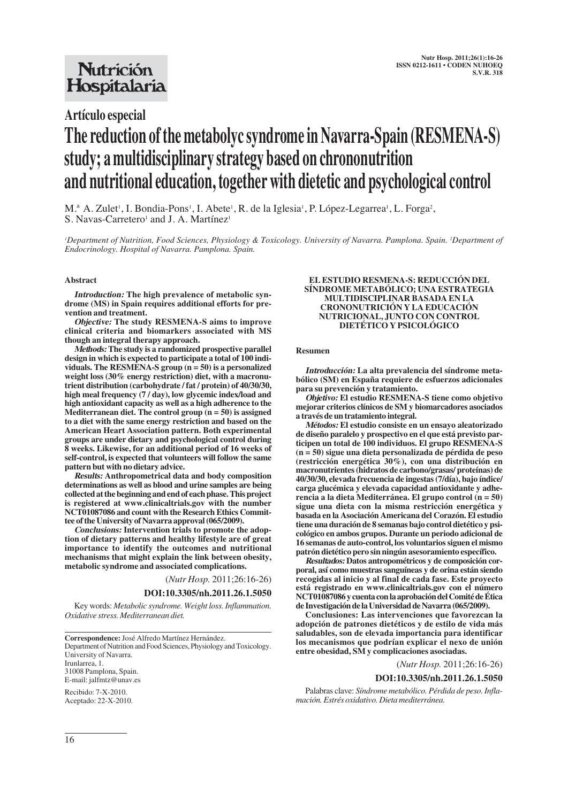# **Nutrición** Hospitalaria

# **Artículo especial**

# **The reduction of the metabolyc syndrome in Navarra-Spain (RESMENA-S) study; a multidisciplinary strategy based on chrononutrition and nutritional education, together with dietetic and psychological control**

M.ª A. Zulet<sup>1</sup>, I. Bondia-Pons<sup>1</sup>, I. Abete<sup>1</sup>, R. de la Iglesia<sup>1</sup>, P. López-Legarrea<sup>1</sup>, L. Forga<sup>2</sup>, S. Navas-Carretero<sup>1</sup> and J. A. Martínez<sup>1</sup>

*1 Department of Nutrition, Food Sciences, Physiology & Toxicology. University of Navarra. Pamplona. Spain. 2 Department of Endocrinology. Hospital of Navarra. Pamplona. Spain.*

### **Abstract**

**Introduction: The high prevalence of metabolic syndrome (MS) in Spain requires additional efforts for prevention and treatment.**

**Objective: The study RESMENA-S aims to improve clinical criteria and biomarkers associated with MS though an integral therapy approach.**

**Methods: The study is a randomized prospective parallel design in which is expected to participate a total of 100 individuals. The RESMENA-S group (n = 50) is a personalized weight loss (30% energy restriction) diet, with a macronutrient distribution (carbohydrate / fat / protein) of 40/30/30, high meal frequency (7 / day), low glycemic index/load and high antioxidant capacity as well as a high adherence to the Mediterranean diet. The control group (n = 50) is assigned to a diet with the same energy restriction and based on the American Heart Association pattern. Both experimental groups are under dietary and psychological control during 8 weeks. Likewise, for an additional period of 16 weeks of self-control, is expected that volunteers will follow the same pattern but with no dietary advice.**

**Results: Anthropometrical data and body composition determinations as well as blood and urine samples are being collected at the beginning and end of each phase. This project is registered at www.clinicaltrials.gov with the number NCT01087086 and count with the Research Ethics Committee of the University of Navarra approval (065/2009).**

**Conclusions: Intervention trials to promote the adoption of dietary patterns and healthy lifestyle are of great importance to identify the outcomes and nutritional mechanisms that might explain the link between obesity, metabolic syndrome and associated complications.**

(*Nutr Hosp.* 2011;26:16-26)

**DOI:10.3305/nh.2011.26.1.5050**

Key words: *Metabolic syndrome. Weight loss. Inflammation. Oxidative stress. Mediterranean diet.*

**Correspondence:** José Alfredo Martínez Hernández.

Department of Nutrition and Food Sciences, Physiology and Toxicology. University of Navarra.

Irunlarrea, 1.

31008 Pamplona, Spain.

E-mail: jalfmtz@unav.es

Recibido: 7-X-2010. Aceptado: 22-X-2010.

#### **EL ESTUDIO RESMENA-S: REDUCCIÓN DEL SÍNDROME METABÓLICO; UNA ESTRATEGIA MULTIDISCIPLINAR BASADA EN LA CRONONUTRICIÓN Y LA EDUCACIÓN NUTRICIONAL, JUNTO CON CONTROL DIETÉTICO Y PSICOLÓGICO**

### **Resumen**

**Introducción: La alta prevalencia del síndrome metabólico (SM) en España requiere de esfuerzos adicionales para su prevención y tratamiento.**

**Objetivo: El estudio RESMENA-S tiene como objetivo mejorar criterios clínicos de SM y biomarcadores asociados a través de un tratamiento integral.**

**Métodos: El estudio consiste en un ensayo aleatorizado de diseño paralelo y prospectivo en el que está previsto participen un total de 100 individuos. El grupo RESMENA-S (n = 50) sigue una dieta personalizada de pérdida de peso (restricción energética 30%), con una distribución en macronutrientes (hidratos de carbono/grasas/ proteínas) de 40/30/30, elevada frecuencia de ingestas (7/día), bajo índice/ carga glucémica y elevada capacidad antioxidante y adherencia a la dieta Mediterránea. El grupo control (n = 50) sigue una dieta con la misma restricción energética y basada en la Asociación Americana del Corazón. El estudio tiene una duración de 8 semanas bajo control dietético y psicológico en ambos grupos. Durante un periodo adicional de 16 semanas de auto-control, los voluntarios siguen el mismo patrón dietético pero sin ningún asesoramiento específico.** 

**Resultados: Datos antropométricos y de composición corporal, así como muestras sanguíneas y de orina están siendo recogidas al inicio y al final de cada fase. Este proyecto está registrado en www.clinicaltrials.gov con el número NCT01087086 y cuenta con la aprobación del Comité de Ética de Investigación de la Universidad de Navarra (065/2009).** 

**Conclusiones: Las intervenciones que favorezcan la adopción de patrones dietéticos y de estilo de vida más saludables, son de elevada importancia para identificar los mecanismos que podrían explicar el nexo de unión entre obesidad, SM y complicaciones asociadas.**

(*Nutr Hosp.* 2011;26:16-26)

# **DOI:10.3305/nh.2011.26.1.5050**

Palabras clave: *Síndrome metabólico. Pérdida de peso. Inflamación. Estrés oxidativo. Dieta mediterránea.*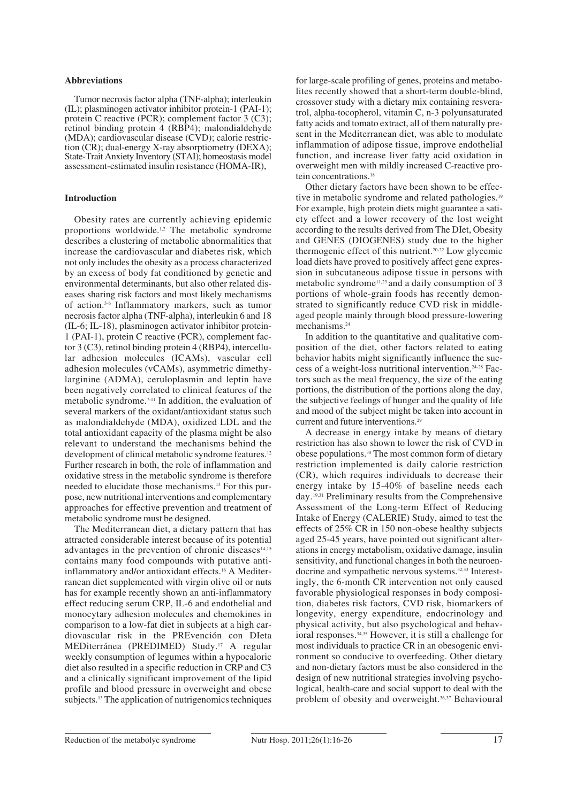## **Abbreviations**

Tumor necrosis factor alpha (TNF-alpha); interleukin (IL); plasminogen activator inhibitor protein-1 (PAI-1); protein C reactive (PCR); complement factor 3 (C3); retinol binding protein 4 (RBP4); malondialdehyde (MDA); cardiovascular disease (CVD); calorie restriction (CR); dual-energy X-ray absorptiometry (DEXA); State-Trait Anxiety Inventory (STAI); homeostasis model assessment-estimated insulin resistance (HOMA-IR),

## **Introduction**

Obesity rates are currently achieving epidemic proportions worldwide.<sup>1,2</sup> The metabolic syndrome describes a clustering of metabolic abnormalities that increase the cardiovascular and diabetes risk, which not only includes the obesity as a process characterized by an excess of body fat conditioned by genetic and environmental determinants, but also other related diseases sharing risk factors and most likely mechanisms of action.3-6 Inflammatory markers, such as tumor necrosis factor alpha (TNF-alpha), interleukin 6 and 18 (IL-6; IL-18), plasminogen activator inhibitor protein-1 (PAI-1), protein C reactive (PCR), complement factor 3 (C3), retinol binding protein 4 (RBP4), intercellular adhesion molecules (ICAMs), vascular cell adhesion molecules (vCAMs), asymmetric dimethylarginine (ADMA), ceruloplasmin and leptin have been negatively correlated to clinical features of the metabolic syndrome.7-11 In addition, the evaluation of several markers of the oxidant/antioxidant status such as malondialdehyde (MDA), oxidized LDL and the total antioxidant capacity of the plasma might be also relevant to understand the mechanisms behind the development of clinical metabolic syndrome features.<sup>12</sup> Further research in both, the role of inflammation and oxidative stress in the metabolic syndrome is therefore needed to elucidate those mechanisms.13 For this purpose, new nutritional interventions and complementary approaches for effective prevention and treatment of metabolic syndrome must be designed.

The Mediterranean diet, a dietary pattern that has attracted considerable interest because of its potential advantages in the prevention of chronic diseases<sup>14,15</sup> contains many food compounds with putative antiinflammatory and/or antioxidant effects.16 A Mediterranean diet supplemented with virgin olive oil or nuts has for example recently shown an anti-inflammatory effect reducing serum CRP, IL-6 and endothelial and monocytary adhesion molecules and chemokines in comparison to a low-fat diet in subjects at a high cardiovascular risk in the PREvención con DIeta MEDiterránea (PREDIMED) Study.17 A regular weekly consumption of legumes within a hypocaloric diet also resulted in a specific reduction in CRP and C3 and a clinically significant improvement of the lipid profile and blood pressure in overweight and obese subjects.13 The application of nutrigenomics techniques for large-scale profiling of genes, proteins and metabolites recently showed that a short-term double-blind, crossover study with a dietary mix containing resveratrol, alpha-tocopherol, vitamin C, n-3 polyunsaturated fatty acids and tomato extract, all of them naturally present in the Mediterranean diet, was able to modulate inflammation of adipose tissue, improve endothelial function, and increase liver fatty acid oxidation in overweight men with mildly increased C-reactive protein concentrations.<sup>18</sup>

Other dietary factors have been shown to be effective in metabolic syndrome and related pathologies.<sup>19</sup> For example, high protein diets might guarantee a satiety effect and a lower recovery of the lost weight according to the results derived from The DIet, Obesity and GENES (DIOGENES) study due to the higher thermogenic effect of this nutrient.20-22 Low glycemic load diets have proved to positively affect gene expression in subcutaneous adipose tissue in persons with metabolic syndrome<sup>11,23</sup> and a daily consumption of 3 portions of whole-grain foods has recently demonstrated to significantly reduce CVD risk in middleaged people mainly through blood pressure-lowering mechanisms.24

In addition to the quantitative and qualitative composition of the diet, other factors related to eating behavior habits might significantly influence the success of a weight-loss nutritional intervention.24-28 Factors such as the meal frequency, the size of the eating portions, the distribution of the portions along the day, the subjective feelings of hunger and the quality of life and mood of the subject might be taken into account in current and future interventions.<sup>29</sup>

A decrease in energy intake by means of dietary restriction has also shown to lower the risk of CVD in obese populations.30 The most common form of dietary restriction implemented is daily calorie restriction (CR), which requires individuals to decrease their energy intake by 15-40% of baseline needs each day.19,31 Preliminary results from the Comprehensive Assessment of the Long-term Effect of Reducing Intake of Energy (CALERIE) Study, aimed to test the effects of 25% CR in 150 non-obese healthy subjects aged 25-45 years, have pointed out significant alterations in energy metabolism, oxidative damage, insulin sensitivity, and functional changes in both the neuroendocrine and sympathetic nervous systems.<sup>32,33</sup> Interestingly, the 6-month CR intervention not only caused favorable physiological responses in body composition, diabetes risk factors, CVD risk, biomarkers of longevity, energy expenditure, endocrinology and physical activity, but also psychological and behavioral responses.<sup>34,35</sup> However, it is still a challenge for most individuals to practice CR in an obesogenic environment so conducive to overfeeding. Other dietary and non-dietary factors must be also considered in the design of new nutritional strategies involving psychological, health-care and social support to deal with the problem of obesity and overweight.36,37 Behavioural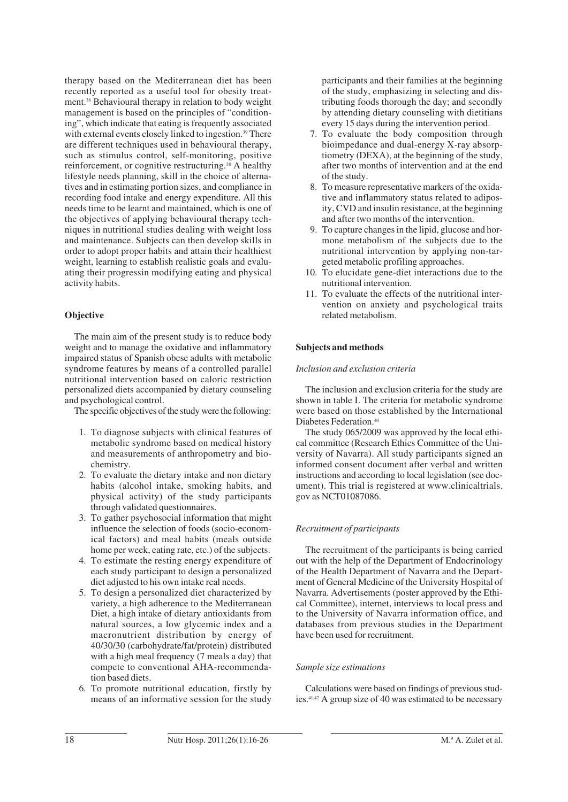therapy based on the Mediterranean diet has been recently reported as a useful tool for obesity treatment.38 Behavioural therapy in relation to body weight management is based on the principles of "conditioning", which indicate that eating is frequently associated with external events closely linked to ingestion.<sup>39</sup> There are different techniques used in behavioural therapy, such as stimulus control, self-monitoring, positive reinforcement, or cognitive restructuring.<sup>38</sup> A healthy lifestyle needs planning, skill in the choice of alternatives and in estimating portion sizes, and compliance in recording food intake and energy expenditure. All this needs time to be learnt and maintained, which is one of the objectives of applying behavioural therapy techniques in nutritional studies dealing with weight loss and maintenance. Subjects can then develop skills in order to adopt proper habits and attain their healthiest weight, learning to establish realistic goals and evaluating their progressin modifying eating and physical activity habits.

# **Objective**

The main aim of the present study is to reduce body weight and to manage the oxidative and inflammatory impaired status of Spanish obese adults with metabolic syndrome features by means of a controlled parallel nutritional intervention based on caloric restriction personalized diets accompanied by dietary counseling and psychological control.

The specific objectives of the study were the following:

- 1. To diagnose subjects with clinical features of metabolic syndrome based on medical history and measurements of anthropometry and biochemistry.
- 2. To evaluate the dietary intake and non dietary habits (alcohol intake, smoking habits, and physical activity) of the study participants through validated questionnaires.
- 3. To gather psychosocial information that might influence the selection of foods (socio-economical factors) and meal habits (meals outside home per week, eating rate, etc.) of the subjects.
- 4. To estimate the resting energy expenditure of each study participant to design a personalized diet adjusted to his own intake real needs.
- 5. To design a personalized diet characterized by variety, a high adherence to the Mediterranean Diet, a high intake of dietary antioxidants from natural sources, a low glycemic index and a macronutrient distribution by energy of 40/30/30 (carbohydrate/fat/protein) distributed with a high meal frequency (7 meals a day) that compete to conventional AHA-recommendation based diets.
- 6. To promote nutritional education, firstly by means of an informative session for the study

participants and their families at the beginning of the study, emphasizing in selecting and distributing foods thorough the day; and secondly by attending dietary counseling with dietitians every 15 days during the intervention period.

- 7. To evaluate the body composition through bioimpedance and dual-energy X-ray absorptiometry (DEXA), at the beginning of the study, after two months of intervention and at the end of the study.
- 8. To measure representative markers of the oxidative and inflammatory status related to adiposity, CVD and insulin resistance, at the beginning and after two months of the intervention.
- 9. To capture changes in the lipid, glucose and hormone metabolism of the subjects due to the nutritional intervention by applying non-targeted metabolic profiling approaches.
- 10. To elucidate gene-diet interactions due to the nutritional intervention.
- 11. To evaluate the effects of the nutritional intervention on anxiety and psychological traits related metabolism.

# **Subjects and methods**

### *Inclusion and exclusion criteria*

The inclusion and exclusion criteria for the study are shown in table I. The criteria for metabolic syndrome were based on those established by the International Diabetes Federation.<sup>40</sup>

The study 065/2009 was approved by the local ethical committee (Research Ethics Committee of the University of Navarra). All study participants signed an informed consent document after verbal and written instructions and according to local legislation (see document). This trial is registered at www.clinicaltrials. gov as NCT01087086.

# *Recruitment of participants*

The recruitment of the participants is being carried out with the help of the Department of Endocrinology of the Health Department of Navarra and the Department of General Medicine of the University Hospital of Navarra. Advertisements (poster approved by the Ethical Committee), internet, interviews to local press and to the University of Navarra information office, and databases from previous studies in the Department have been used for recruitment.

#### *Sample size estimations*

Calculations were based on findings of previous studies.41,42 A group size of 40 was estimated to be necessary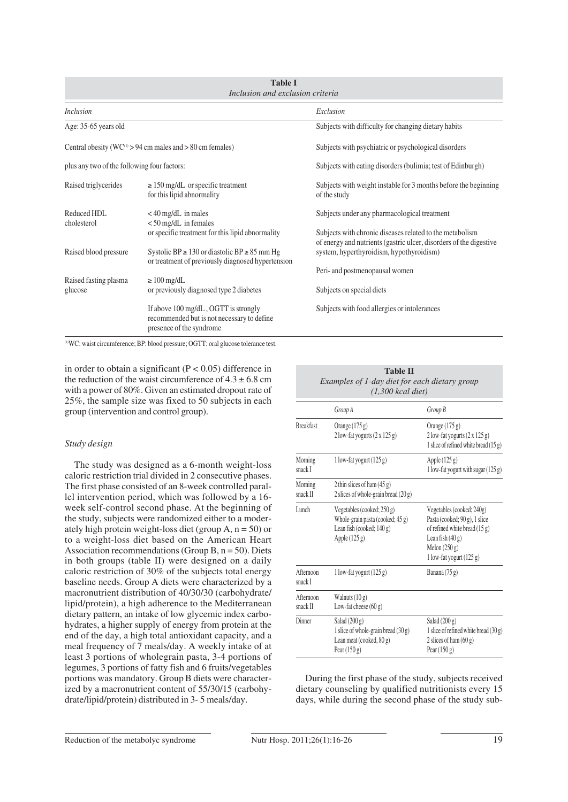| <b>Table I</b><br>Inclusion and exclusion criteria                |                                                                                                                |                                                                                                                |  |  |  |  |
|-------------------------------------------------------------------|----------------------------------------------------------------------------------------------------------------|----------------------------------------------------------------------------------------------------------------|--|--|--|--|
| <i>Inclusion</i>                                                  |                                                                                                                | Exclusion                                                                                                      |  |  |  |  |
| Age: 35-65 years old                                              |                                                                                                                | Subjects with difficulty for changing dietary habits                                                           |  |  |  |  |
| Central obesity ( $WC^{(1)} > 94$ cm males and $> 80$ cm females) |                                                                                                                | Subjects with psychiatric or psychological disorders                                                           |  |  |  |  |
| plus any two of the following four factors:                       |                                                                                                                | Subjects with eating disorders (bulimia; test of Edinburgh)                                                    |  |  |  |  |
| Raised triglycerides                                              | $\geq 150$ mg/dL or specific treatment<br>for this lipid abnormality                                           | Subjects with weight instable for 3 months before the beginning<br>of the study                                |  |  |  |  |
| Reduced HDL<br>cholesterol                                        | $<$ 40 mg/dL in males<br>$<$ 50 mg/dL in females<br>or specific treatment for this lipid abnormality           | Subjects under any pharmacological treatment<br>Subjects with chronic diseases related to the metabolism       |  |  |  |  |
| Raised blood pressure                                             | Systolic BP $\geq$ 130 or diastolic BP $\geq$ 85 mm Hg<br>or treatment of previously diagnosed hypertension    | of energy and nutrients (gastric ulcer, disorders of the digestive<br>system, hyperthyroidism, hypothyroidism) |  |  |  |  |
| Raised fasting plasma<br>glucose                                  | $\geq 100 \text{ mg/dL}$<br>or previously diagnosed type 2 diabetes                                            | Peri- and postmenopausal women<br>Subjects on special diets                                                    |  |  |  |  |
|                                                                   | If above 100 mg/dL, OGTT is strongly<br>recommended but is not necessary to define<br>presence of the syndrome | Subjects with food allergies or intolerances                                                                   |  |  |  |  |

(1)WC: waist circumference; BP: blood pressure; OGTT: oral glucose tolerance test.

in order to obtain a significant  $(P < 0.05)$  difference in the reduction of the waist circumference of  $4.3 \pm 6.8$  cm with a power of 80%. Given an estimated dropout rate of 25%, the sample size was fixed to 50 subjects in each group (intervention and control group).

# *Study design*

The study was designed as a 6-month weight-loss caloric restriction trial divided in 2 consecutive phases. The first phase consisted of an 8-week controlled parallel intervention period, which was followed by a 16 week self-control second phase. At the beginning of the study, subjects were randomized either to a moderately high protein weight-loss diet (group A,  $n = 50$ ) or to a weight-loss diet based on the American Heart Association recommendations (Group B,  $n = 50$ ). Diets in both groups (table II) were designed on a daily caloric restriction of 30% of the subjects total energy baseline needs. Group A diets were characterized by a macronutrient distribution of 40/30/30 (carbohydrate/ lipid/protein), a high adherence to the Mediterranean dietary pattern, an intake of low glycemic index carbohydrates, a higher supply of energy from protein at the end of the day, a high total antioxidant capacity, and a meal frequency of 7 meals/day. A weekly intake of at least 3 portions of wholegrain pasta, 3-4 portions of legumes, 3 portions of fatty fish and 6 fruits/vegetables portions was mandatory. Group B diets were characterized by a macronutrient content of 55/30/15 (carbohydrate/lipid/protein) distributed in 3- 5 meals/day.

# **Table II** *Examples of 1-day diet for each dietary group (1,300 kcal diet)*

|                       | Group A                                                                                                              | Group B                                                                                                                                                              |  |
|-----------------------|----------------------------------------------------------------------------------------------------------------------|----------------------------------------------------------------------------------------------------------------------------------------------------------------------|--|
| <b>Breakfast</b>      | Orange $(175 g)$<br>2 low-fat yogurts $(2 \times 125 \text{ g})$                                                     | Orange $(175 g)$<br>2 low-fat yogurts $(2 \times 125$ g)<br>1 slice of refined white bread (15 g)                                                                    |  |
| Morning<br>snack I    | 1 low-fat yogurt $(125 g)$                                                                                           | Apple $(125 g)$<br>1 low-fat yogurt with sugar $(125 g)$                                                                                                             |  |
| Morning<br>snack II   | 2 thin slices of ham $(45 g)$<br>2 slices of whole-grain bread $(20 g)$                                              |                                                                                                                                                                      |  |
| Lunch                 | Vegetables (cooked; $250 g$ )<br>Whole-grain pasta (cooked; $45 g$ )<br>Lean fish (cooked; 140 g)<br>Apple $(125 g)$ | Vegetables (cooked; 240g)<br>Pasta (cooked; 90 g), 1 slice<br>of refined white bread (15 g)<br>Lean fish $(40 g)$<br>Melon $(250 g)$<br>$1$ low-fat yogurt $(125 g)$ |  |
| Afternoon<br>snack I  | 1 low-fat yogurt $(125 g)$                                                                                           | Banana (75 g)                                                                                                                                                        |  |
| Afternoon<br>snack II | Walnuts $(10 g)$<br>Low-fat cheese (60 g)                                                                            |                                                                                                                                                                      |  |
| Dinner                | Salad $(200 g)$<br>1 slice of whole-grain bread (30 g)<br>Lean meat (cooked, 80 g)<br>Pear $(150 g)$                 | Salad (200 g)<br>1 slice of refined white bread $(30 g)$<br>2 slices of ham $(60 g)$<br>Pear $(150 g)$                                                               |  |

During the first phase of the study, subjects received dietary counseling by qualified nutritionists every 15 days, while during the second phase of the study sub-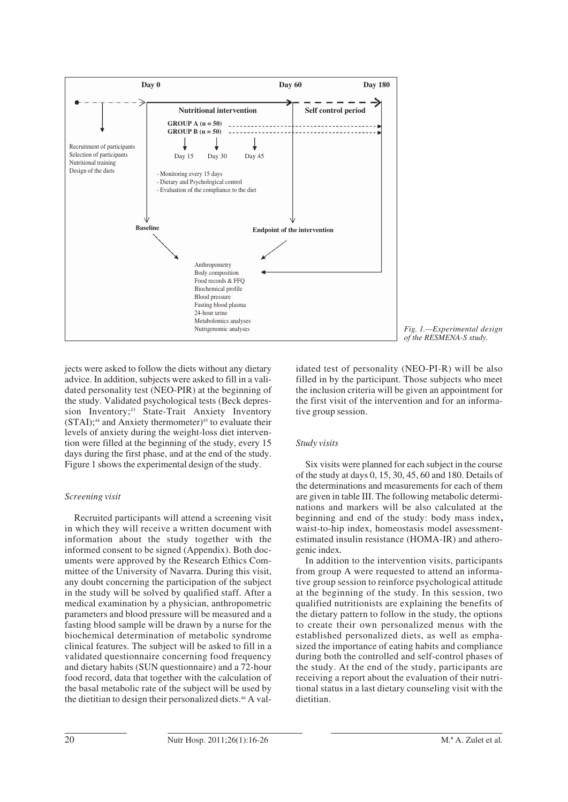

jects were asked to follow the diets without any dietary advice. In addition, subjects were asked to fill in a validated personality test (NEO-PIR) at the beginning of the study. Validated psychological tests (Beck depression Inventory;<sup>43</sup> State-Trait Anxiety Inventory  $(STAI;44$  and Anxiety thermometer) $45$  to evaluate their levels of anxiety during the weight-loss diet intervention were filled at the beginning of the study, every 15 days during the first phase, and at the end of the study. Figure 1 shows the experimental design of the study.

# *Screening visit*

Recruited participants will attend a screening visit in which they will receive a written document with information about the study together with the informed consent to be signed (Appendix). Both documents were approved by the Research Ethics Committee of the University of Navarra. During this visit, any doubt concerning the participation of the subject in the study will be solved by qualified staff. After a medical examination by a physician, anthropometric parameters and blood pressure will be measured and a fasting blood sample will be drawn by a nurse for the biochemical determination of metabolic syndrome clinical features. The subject will be asked to fill in a validated questionnaire concerning food frequency and dietary habits (SUN questionnaire) and a 72-hour food record, data that together with the calculation of the basal metabolic rate of the subject will be used by the dietitian to design their personalized diets.46 A val*Fig. 1.—Experimental design of the RESMENA-S study.*

idated test of personality (NEO-PI-R) will be also filled in by the participant. Those subjects who meet the inclusion criteria will be given an appointment for the first visit of the intervention and for an informative group session.

# *Study visits*

Six visits were planned for each subject in the course of the study at days 0, 15, 30, 45, 60 and 180. Details of the determinations and measurements for each of them are given in table III. The following metabolic determinations and markers will be also calculated at the beginning and end of the study: body mass index**,** waist-to-hip index, homeostasis model assessmentestimated insulin resistance (HOMA-IR) and atherogenic index.

In addition to the intervention visits, participants from group A were requested to attend an informative group session to reinforce psychological attitude at the beginning of the study. In this session, two qualified nutritionists are explaining the benefits of the dietary pattern to follow in the study, the options to create their own personalized menus with the established personalized diets, as well as emphasized the importance of eating habits and compliance during both the controlled and self-control phases of the study. At the end of the study, participants are receiving a report about the evaluation of their nutritional status in a last dietary counseling visit with the dietitian.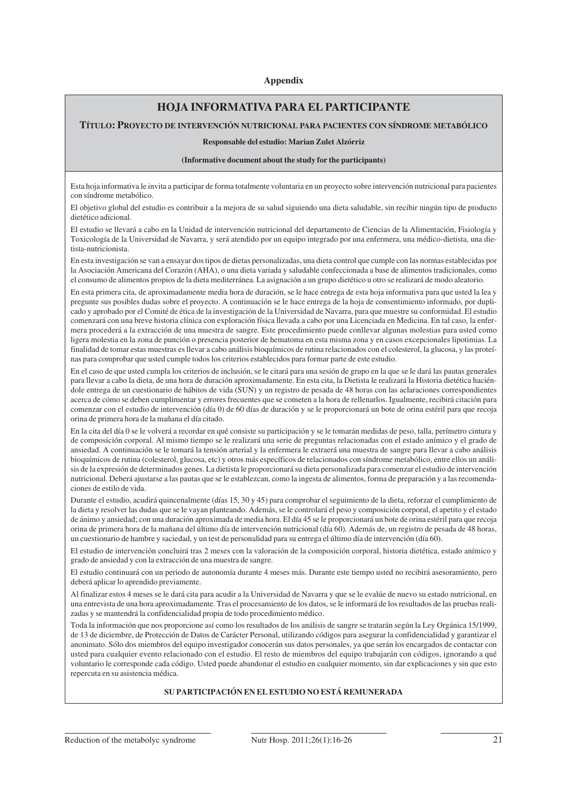# **Appendix**

# **HOJA INFORMATIVA PARA EL PARTICIPANTE**

## **TÍTULO: PROYECTO DE INTERVENCIÓN NUTRICIONAL PARA PACIENTES CON SÍNDROME METABÓLICO**

#### **Responsable del estudio: Marian Zulet Alzórriz**

### **(Informative document about the study for the participants)**

Esta hoja informativa le invita a participar de forma totalmente voluntaria en un proyecto sobre intervención nutricional para pacientes con síndrome metabólico.

El objetivo global del estudio es contribuir a la mejora de su salud siguiendo una dieta saludable, sin recibir ningún tipo de producto dietético adicional.

El estudio se llevará a cabo en la Unidad de intervención nutricional del departamento de Ciencias de la Alimentación, Fisiología y Toxicología de la Universidad de Navarra, y será atendido por un equipo integrado por una enfermera, una médico-dietista, una dietista-nutricionista.

En esta investigación se van a ensayar dos tipos de dietas personalizadas, una dieta control que cumple con las normas establecidas por la Asociación Americana del Corazón (AHA), o una dieta variada y saludable confeccionada a base de alimentos tradicionales, como el consumo de alimentos propios de la dieta mediterránea. La asignación a un grupo dietético u otro se realizará de modo aleatorio.

En esta primera cita, de aproximadamente media hora de duración, se le hace entrega de esta hoja informativa para que usted la lea y pregunte sus posibles dudas sobre el proyecto. A continuación se le hace entrega de la hoja de consentimiento informado, por duplicado y aprobado por el Comité de ética de la investigación de la Universidad de Navarra, para que muestre su conformidad. El estudio comenzará con una breve historia clínica con exploración física llevada a cabo por una Licenciada en Medicina. En tal caso, la enfermera procederá a la extracción de una muestra de sangre. Este procedimiento puede conllevar algunas molestias para usted como ligera molestia en la zona de punción o presencia posterior de hematoma en esta misma zona y en casos excepcionales lipotimias. La finalidad de tomar estas muestras es llevar a cabo análisis bioquímicos de rutina relacionados con el colesterol, la glucosa, y las proteínas para comprobar que usted cumple todos los criterios establecidos para formar parte de este estudio.

En el caso de que usted cumpla los criterios de inclusión, se le citará para una sesión de grupo en la que se le dará las pautas generales para llevar a cabo la dieta, de una hora de duración aproximadamente. En esta cita, la Dietista le realizará la Historia dietética haciéndole entrega de un cuestionario de hábitos de vida (SUN) y un registro de pesada de 48 horas con las aclaraciones correspondientes acerca de cómo se deben cumplimentar y errores frecuentes que se cometen a la hora de rellenarlos. Igualmente, recibirá citación para comenzar con el estudio de intervención (día 0) de 60 días de duración y se le proporcionará un bote de orina estéril para que recoja orina de primera hora de la mañana el día citado.

En la cita del día 0 se le volverá a recordar en qué consiste su participación y se le tomarán medidas de peso, talla, perímetro cintura y de composición corporal. Al mismo tiempo se le realizará una serie de preguntas relacionadas con el estado anímico y el grado de ansiedad. A continuación se le tomará la tensión arterial y la enfermera le extraerá una muestra de sangre para llevar a cabo análisis bioquímicos de rutina (colesterol, glucosa, etc) y otros más específicos de relacionados con síndrome metabólico, entre ellos un análisis de la expresión de determinados genes. La dietista le proporcionará su dieta personalizada para comenzar el estudio de intervención nutricional. Deberá ajustarse a las pautas que se le establezcan, como la ingesta de alimentos, forma de preparación y a las recomendaciones de estilo de vida.

Durante el estudio, acudirá quincenalmente (días 15, 30 y 45) para comprobar el seguimiento de la dieta, reforzar el cumplimiento de la dieta y resolver las dudas que se le vayan planteando. Además, se le controlará el peso y composición corporal, el apetito y el estado de ánimo y ansiedad; con una duración aproximada de media hora. El día 45 se le proporcionará un bote de orina estéril para que recoja orina de primera hora de la mañana del último día de intervención nutricional (día 60). Además de, un registro de pesada de 48 horas, un cuestionario de hambre y saciedad, y un test de personalidad para su entrega el último día de intervención (día 60).

El estudio de intervención concluirá tras 2 meses con la valoración de la composición corporal, historia dietética, estado anímico y grado de ansiedad y con la extracción de una muestra de sangre.

El estudio continuará con un periodo de autonomía durante 4 meses más. Durante este tiempo usted no recibirá asesoramiento, pero deberá aplicar lo aprendido previamente.

Al finalizar estos 4 meses se le dará cita para acudir a la Universidad de Navarra y que se le evalúe de nuevo su estado nutricional, en una entrevista de una hora aproximadamente. Tras el procesamiento de los datos, se le informará de los resultados de las pruebas realizadas y se mantendrá la confidencialidad propia de todo procedimiento médico.

Toda la información que nos proporcione así como los resultados de los análisis de sangre se tratarán según la Ley Orgánica 15/1999, de 13 de diciembre, de Protección de Datos de Carácter Personal, utilizando códigos para asegurar la confidencialidad y garantizar el anonimato. Sólo dos miembros del equipo investigador conocerán sus datos personales, ya que serán los encargados de contactar con usted para cualquier evento relacionado con el estudio. El resto de miembros del equipo trabajarán con códigos, ignorando a qué voluntario le corresponde cada código. Usted puede abandonar el estudio en cualquier momento, sin dar explicaciones y sin que esto repercuta en su asistencia médica.

# **SU PARTICIPACIÓN EN EL ESTUDIO NO ESTÁ REMUNERADA**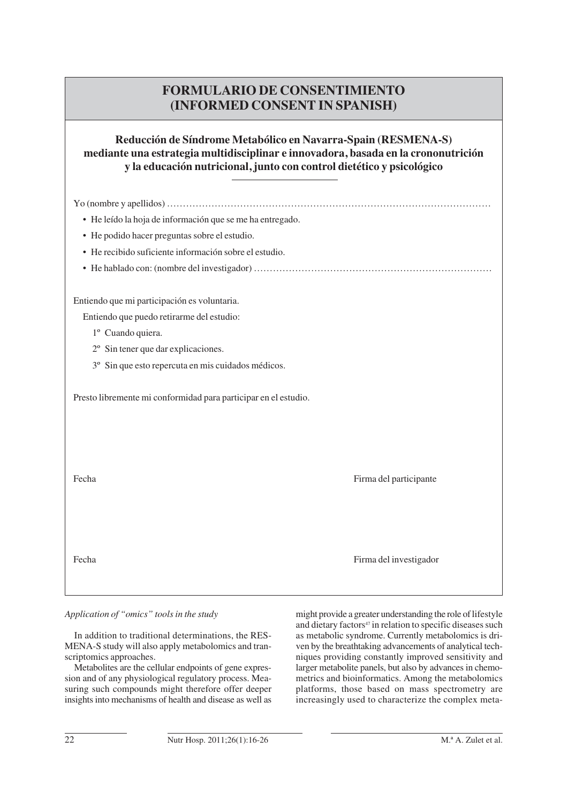# **FORMULARIO DE CONSENTIMIENTO (INFORMED CONSENT IN SPANISH)**

# **Reducción de Síndrome Metabólico en Navarra-Spain (RESMENA-S) mediante una estrategia multidisciplinar e innovadora, basada en la crononutrición y la educación nutricional, junto con control dietético y psicológico**

| · He leído la hoja de información que se me ha entregado.<br>• He podido hacer preguntas sobre el estudio.<br>· He recibido suficiente información sobre el estudio. |                        |  |  |  |  |  |
|----------------------------------------------------------------------------------------------------------------------------------------------------------------------|------------------------|--|--|--|--|--|
| Entiendo que mi participación es voluntaria.<br>Entiendo que puedo retirarme del estudio:                                                                            |                        |  |  |  |  |  |
| 1° Cuando quiera.                                                                                                                                                    |                        |  |  |  |  |  |
| 2° Sin tener que dar explicaciones.                                                                                                                                  |                        |  |  |  |  |  |
| 3° Sin que esto repercuta en mis cuidados médicos.                                                                                                                   |                        |  |  |  |  |  |
| Presto libremente mi conformidad para participar en el estudio.                                                                                                      |                        |  |  |  |  |  |
| Fecha                                                                                                                                                                | Firma del participante |  |  |  |  |  |
| Fecha                                                                                                                                                                | Firma del investigador |  |  |  |  |  |

*Application of "omics" tools in the study*

In addition to traditional determinations, the RES-MENA-S study will also apply metabolomics and transcriptomics approaches.

Metabolites are the cellular endpoints of gene expression and of any physiological regulatory process. Measuring such compounds might therefore offer deeper insights into mechanisms of health and disease as well as

might provide a greater understanding the role of lifestyle and dietary factors<sup>47</sup> in relation to specific diseases such as metabolic syndrome. Currently metabolomics is driven by the breathtaking advancements of analytical techniques providing constantly improved sensitivity and larger metabolite panels, but also by advances in chemometrics and bioinformatics. Among the metabolomics platforms, those based on mass spectrometry are increasingly used to characterize the complex meta-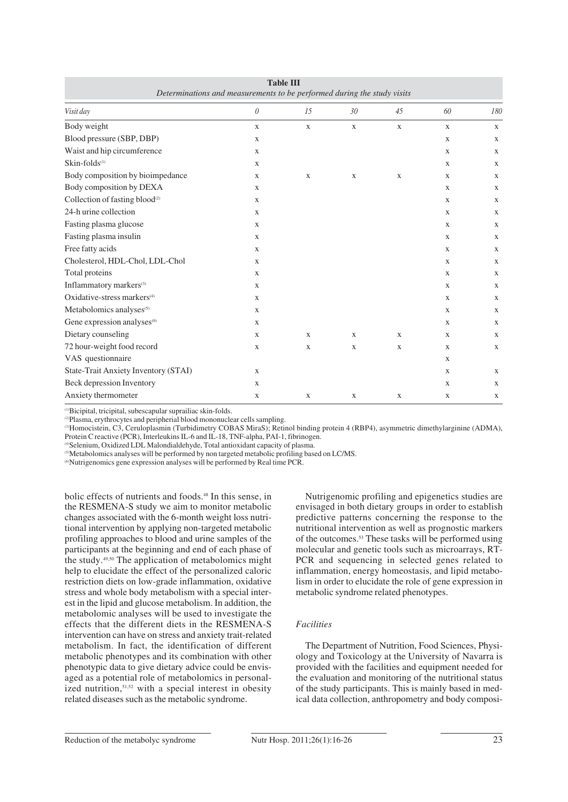| Determinations and measurements to be performed during the study visits |             |              |              |             |              |              |  |  |  |
|-------------------------------------------------------------------------|-------------|--------------|--------------|-------------|--------------|--------------|--|--|--|
| Visit day                                                               | $\theta$    | 15           | 30           | 45          | 60           | 180          |  |  |  |
| Body weight                                                             | $\mathbf X$ | $\mathbf{X}$ | $\mathbf{X}$ | $\mathbf X$ | $\mathbf{X}$ | $\mathbf X$  |  |  |  |
| Blood pressure (SBP, DBP)                                               | $\mathbf X$ |              |              |             | $\mathbf X$  | X            |  |  |  |
| Waist and hip circumference                                             | X           |              |              |             | X            | $\mathbf{X}$ |  |  |  |
| Skin-folds <sup>(1)</sup>                                               | $\mathbf X$ |              |              |             | $\mathbf X$  | $\mathbf X$  |  |  |  |
| Body composition by bioimpedance                                        | X           | $\mathbf X$  | $\mathbf X$  | X           | $\mathbf X$  | X            |  |  |  |
| Body composition by DEXA                                                | X           |              |              |             | $\mathbf X$  | X            |  |  |  |
| Collection of fasting blood <sup>(2)</sup>                              | $\mathbf X$ |              |              |             | $\mathbf{X}$ | X            |  |  |  |
| 24-h urine collection                                                   | $\mathbf X$ |              |              |             | $\mathbf{X}$ | $\mathbf X$  |  |  |  |
| Fasting plasma glucose                                                  | $\mathbf X$ |              |              |             | $\mathbf{X}$ | $\mathbf{X}$ |  |  |  |
| Fasting plasma insulin                                                  | $\mathbf X$ |              |              |             | $\mathbf{X}$ | $\mathbf X$  |  |  |  |
| Free fatty acids                                                        | $\mathbf X$ |              |              |             | $\mathbf{X}$ | $\mathbf X$  |  |  |  |
| Cholesterol, HDL-Chol, LDL-Chol                                         | X           |              |              |             | $\mathbf{X}$ | X            |  |  |  |
| Total proteins                                                          | $\mathbf X$ |              |              |             | $\mathbf{X}$ | $\mathbf X$  |  |  |  |
| Inflammatory markers <sup>(3)</sup>                                     | X           |              |              |             | $\mathbf{X}$ | $\mathbf X$  |  |  |  |
| Oxidative-stress markers <sup>(4)</sup>                                 | X           |              |              |             | $\mathbf{X}$ | $\mathbf X$  |  |  |  |
| Metabolomics analyses <sup>(5)</sup>                                    | $\mathbf X$ |              |              |             | $\mathbf{X}$ | $\mathbf X$  |  |  |  |
| Gene expression analyses <sup>(6)</sup>                                 | $\mathbf X$ |              |              |             | $\mathbf X$  | $\mathbf X$  |  |  |  |
| Dietary counseling                                                      | X           | X            | $\mathbf{X}$ | X           | $\mathbf{X}$ | $\mathbf{X}$ |  |  |  |
| 72 hour-weight food record                                              | $\mathbf X$ | $\mathbf X$  | $\mathbf X$  | $\mathbf X$ | $\mathbf X$  | $\mathbf X$  |  |  |  |
| VAS questionnaire                                                       |             |              |              |             | $\mathbf X$  |              |  |  |  |
| State-Trait Anxiety Inventory (STAI)                                    | $\mathbf X$ |              |              |             | $\mathbf X$  | $\mathbf X$  |  |  |  |
| Beck depression Inventory                                               | $\mathbf X$ |              |              |             | $\mathbf{X}$ | $\mathbf X$  |  |  |  |
| Anxiety thermometer                                                     | X           | $\mathbf X$  | $\mathbf X$  | $\mathbf X$ | $\mathbf X$  | X            |  |  |  |

**Table III**

(1)Bicipital, tricipital, subescapular suprailiac skin-folds.

(2)Plasma, erythrocytes and peripherial blood mononuclear cells sampling.

(3)Homocistein, C3, Ceruloplasmin (Turbidimetry COBAS MiraS); Retinol binding protein 4 (RBP4), asymmetric dimethylarginine (ADMA), Protein C reactive (PCR), Interleukins IL-6 and IL-18, TNF-alpha, PAI-1, fibrinogen.

(4)Selenium, Oxidized LDL Malondialdehyde, Total antioxidant capacity of plasma.

(5)Metabolomics analyses will be performed by non targeted metabolic profiling based on LC/MS.

(6)Nutrigenomics gene expression analyses will be performed by Real time PCR.

bolic effects of nutrients and foods.48 In this sense, in the RESMENA-S study we aim to monitor metabolic changes associated with the 6-month weight loss nutritional intervention by applying non-targeted metabolic profiling approaches to blood and urine samples of the participants at the beginning and end of each phase of the study.49,50 The application of metabolomics might help to elucidate the effect of the personalized caloric restriction diets on low-grade inflammation, oxidative stress and whole body metabolism with a special interest in the lipid and glucose metabolism. In addition, the metabolomic analyses will be used to investigate the effects that the different diets in the RESMENA-S intervention can have on stress and anxiety trait-related metabolism. In fact, the identification of different metabolic phenotypes and its combination with other phenotypic data to give dietary advice could be envisaged as a potential role of metabolomics in personalized nutrition,51,52 with a special interest in obesity related diseases such as the metabolic syndrome.

Nutrigenomic profiling and epigenetics studies are envisaged in both dietary groups in order to establish predictive patterns concerning the response to the nutritional intervention as well as prognostic markers of the outcomes.53 These tasks will be performed using molecular and genetic tools such as microarrays, RT-PCR and sequencing in selected genes related to inflammation, energy homeostasis, and lipid metabolism in order to elucidate the role of gene expression in metabolic syndrome related phenotypes.

# *Facilities*

The Department of Nutrition, Food Sciences, Physiology and Toxicology at the University of Navarra is provided with the facilities and equipment needed for the evaluation and monitoring of the nutritional status of the study participants. This is mainly based in medical data collection, anthropometry and body composi-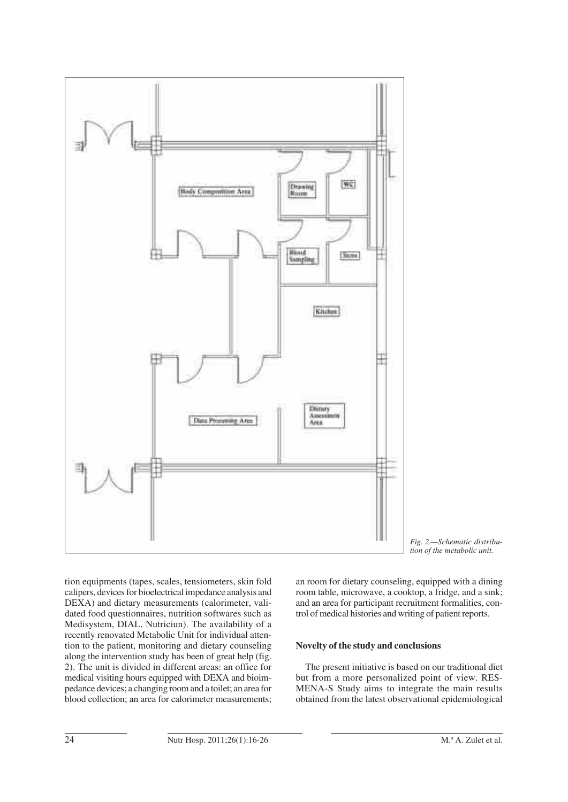

tion equipments (tapes, scales, tensiometers, skin fold calipers, devices for bioelectrical impedance analysis and DEXA) and dietary measurements (calorimeter, validated food questionnaires, nutrition softwares such as Medisystem, DIAL, Nutriciun). The availability of a recently renovated Metabolic Unit for individual attention to the patient, monitoring and dietary counseling along the intervention study has been of great help (fig. 2). The unit is divided in different areas: an office for medical visiting hours equipped with DEXA and bioimpedance devices; a changing room and a toilet; an area for blood collection; an area for calorimeter measurements;



an room for dietary counseling, equipped with a dining room table, microwave, a cooktop, a fridge, and a sink; and an area for participant recruitment formalities, control of medical histories and writing of patient reports.

# **Novelty of the study and conclusions**

The present initiative is based on our traditional diet but from a more personalized point of view. RES-MENA-S Study aims to integrate the main results obtained from the latest observational epidemiological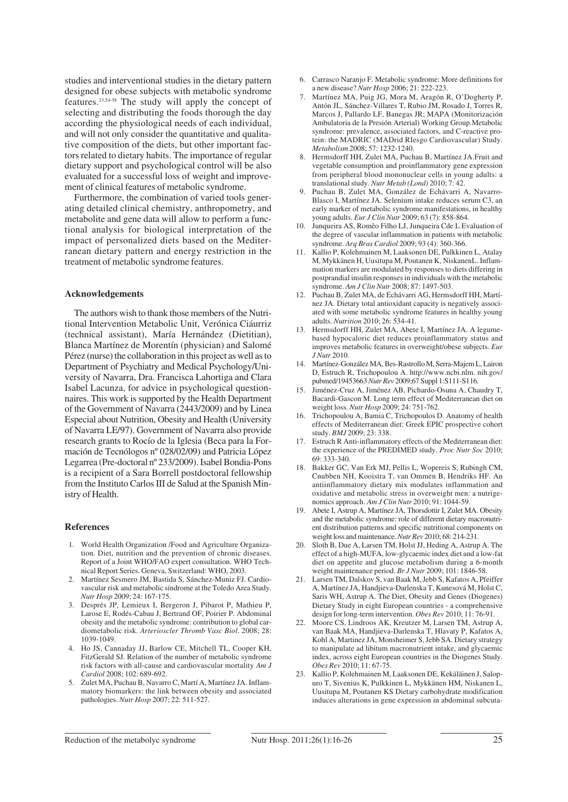studies and interventional studies in the dietary pattern designed for obese subjects with metabolic syndrome features.23,54-58 The study will apply the concept of selecting and distributing the foods thorough the day according the physiological needs of each individual, and will not only consider the quantitative and qualitative composition of the diets, but other important factors related to dietary habits. The importance of regular dietary support and psychological control will be also evaluated for a successful loss of weight and improvement of clinical features of metabolic syndrome.

Furthermore, the combination of varied tools generating detailed clinical chemistry, anthropometry, and metabolite and gene data will allow to perform a functional analysis for biological interpretation of the impact of personalized diets based on the Mediterranean dietary pattern and energy restriction in the treatment of metabolic syndrome features.

#### **Acknowledgements**

The authors wish to thank those members of the Nutritional Intervention Metabolic Unit, Verónica Ciáurriz (technical assistant), María Hernández (Dietitian), Blanca Martínez de Morentín (physician) and Salomé Pérez (nurse) the collaboration in this project as well as to Department of Psychiatry and Medical Psychology/University of Navarra, Dra. Francisca Lahortiga and Clara Isabel Lacunza, for advice in psychological questionnaires. This work is supported by the Health Department of the Government of Navarra (2443/2009) and by Linea Especial about Nutrition, Obesity and Health (University of Navarra LE/97). Government of Navarra also provide research grants to Rocío de la Iglesia (Beca para la Formación de Tecnólogos nº 028/02/09) and Patricia López Legarrea (Pre-doctoral nº 233/2009). Isabel Bondia-Pons is a recipient of a Sara Borrell postdoctoral fellowship from the Instituto Carlos III de Salud at the Spanish Ministry of Health.

### **References**

- 1. World Health Organization /Food and Agriculture Organization. Diet, nutrition and the prevention of chronic diseases. Report of a Joint WHO/FAO expert consultation. WHO Technical Report Series. Geneva, Switzerland: WHO, 2003.
- 2. Martínez Sesmero JM, Bastida S, Sánchez-Muniz FJ. Cardiovascular risk and metabolic síndrome at the Toledo Area Study. *Nutr Hosp* 2009; 24: 167-175.
- 3. Després JP, Lemieux I, Bergeron J, Pibarot P, Mathieu P, Larose E, Rodés-Cabau J, Bertrand OF, Poirier P. Abdominal obesity and the metabolic syndrome: contribution to global cardiometabolic risk. *Arterioscler Thromb Vasc Biol*. 2008; 28: 1039-1049.
- 4. Ho JS, Cannaday JJ, Barlow CE, Mitchell TL, Cooper KH, FitzGerald SJ. Relation of the number of metabolic syndrome risk factors with all-cause and cardiovascular mortality *Am J Cardiol* 2008; 102: 689-692.
- 5. Zulet MA, Puchau B, Navarro C, Martí A, Martínez JA. Inflammatory biomarkers: the link between obesity and associated pathologies. *Nutr Hosp* 2007; 22: 511-527.
- 6. Carrasco Naranjo F. Metabolic syndrome: More definitions for a new disease? *Nutr Hosp* 2006; 21: 222-223.
- 7. Martínez MA, Puig JG, Mora M, Aragón R, O'Dogherty P, Antón JL, Sánchez-Villares T, Rubio JM, Rosado J, Torres R, Marcos J, Pallardo LF, Banegas JR; MAPA (Monitorización Ambulatoria de la Presión Arterial) Working Group.Metabolic syndrome: prevalence, associated factors, and C-reactive protein: the MADRIC (MADrid RIesgo Cardiovascular) Study. *Metabolism* 2008; 57: 1232-1240.
- 8. Hermsdorff HH, Zulet MA, Puchau B, Martínez JA.Fruit and vegetable consumption and proinflammatory gene expression from peripheral blood mononuclear cells in young adults: a translational study. *Nutr Metab (Lond)* 2010; 7: 42.
- 9. Puchau B, Zulet MA, González de Echávarri A, Navarro-Blasco I, Martínez JA. Selenium intake reduces serum C3, an early marker of metabolic syndrome manifestations, in healthy young adults. *Eur J Clin Nutr* 2009; 63 (7): 858-864.
- 10. Junqueira AS, Romêo Filho LJ, Junqueira Cde L Evaluation of the degree of vascular inflammation in patients with metabolic syndrome. *Arq Bras Cardiol* 2009; 93 (4): 360-366.
- 11. Kallio P, Kolehmainen M, Laaksonen DE, Pulkkinen L, Atalay M, Mykkänen H, Uusitupa M, Poutanen K, NiskanenL. Inflammation markers are modulated by responses to diets differing in postprandial insulin responses in individuals with the metabolic syndrome. *Am J Clin Nutr* 2008; 87: 1497-503.
- 12. Puchau B, Zulet MA, de Echávarri AG, Hermsdorff HH, Martínez JA. Dietary total antioxidant capacity is negatively associated with some metabolic syndrome features in healthy young adults. *Nutrition* 2010; 26: 534-41.
- 13. Hermsdorff HH, Zulet MA, Abete I, Martínez JA. A legumebased hypocaloric diet reduces proinflammatory status and improves metabolic features in overweight/obese subjects. *Eur J Nutr* 2010.
- 14. Martínez-González MA, Bes-Rastrollo M, Serra-Majem L, Lairon D, Estruch R, Trichopoulou A*.* http://www.ncbi.nlm. nih.gov/ pubmed/19453663*Nutr Rev* 2009;67 Suppl 1:S111-S116.
- Jiménez-Cruz A, Jiménez AB, Pichardo-Osuna A, Chaudry T, Bacardi-Gascon M. Long term effect of Mediterranean diet on weight loss. *Nutr Hosp* 2009; 24: 751-762.
- 16. Trichopoulou A, Bamia C, Trichopoulos D. Anatomy of health effects of Mediterranean diet: Greek EPIC prospective cohort study. *BMJ* 2009; 23: 338.
- 17. Estruch R Anti-inflammatory effects of the Mediterranean diet: the experience of the PREDIMED study. *Proc Nutr Soc* 2010; 69: 333-340.
- 18. Bakker GC, Van Erk MJ, Pellis L, Wopereis S, Rubingh CM, Cnubben NH, Kooistra T, van Ommen B, Hendriks HF. An antiinflammatory dietary mix modulates inflammation and oxidative and metabolic stress in overweight men: a nutrigenomics approach. *Am J Clin Nutr* 2010; 91: 1044-59.
- 19. Abete I, Astrup A, Martínez JA, Thorsdottir I, Zulet MA. Obesity and the metabolic syndrome: role of different dietary macronutrient distribution patterns and specific nutritional components on weight loss and maintenance. *Nutr Rev* 2010; 68: 214-231.
- 20. Sloth B, Due A, Larsen TM, Holst JJ, Heding A, Astrup A. The effect of a high-MUFA, low-glycaemic index diet and a low-fat diet on appetite and glucose metabolism during a 6-month weight maintenance period. *Br J Nutr* 2009; 101: 1846-58.
- 21. Larsen TM, Dalskov S, van Baak M, Jebb S, Kafatos A, Pfeiffer A, Martínez JA, Handjieva-Darlenska T, Kunesová M, Holst C, Saris WH, Astrup A. The Diet, Obesity and Genes (Diogenes) Dietary Study in eight European countries - a comprehensive design for long-term intervention. *Obes Rev* 2010; 11: 76-91.
- 22. Moore CS, Lindroos AK, Kreutzer M, Larsen TM, Astrup A, van Baak MA, Handjieva-Darlenska T, Hlavaty P, Kafatos A, Kohl A, Martinez JA, Monsheimer S, Jebb SA. Dietary strategy to manipulate ad libitum macronutrient intake, and glycaemic index, across eight European countries in the Diogenes Study. *Obes Rev* 2010; 11: 67-75.
- 23. Kallio P, Kolehmainen M, Laaksonen DE, Kekäläinen J, Salopuro T, Sivenius K, Pulkkinen L, Mykkänen HM, Niskanen L, Uusitupa M, Poutanen KS Dietary carbohydrate modification induces alterations in gene expression in abdominal subcuta-